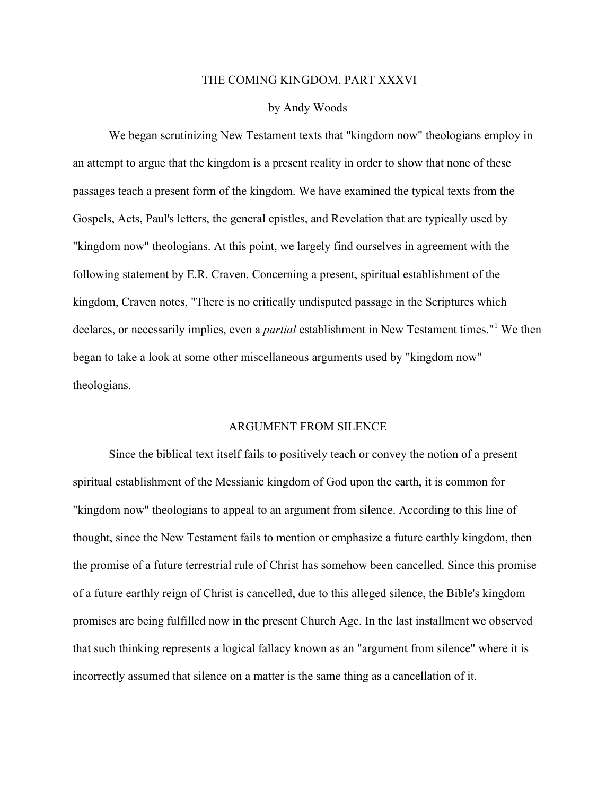#### THE COMING KINGDOM, PART XXXVI

### by Andy Woods

We began scrutinizing New Testament texts that "kingdom now" theologians employ in an attempt to argue that the kingdom is a present reality in order to show that none of these passages teach a present form of the kingdom. We have examined the typical texts from the Gospels, Acts, Paul's letters, the general epistles, and Revelation that are typically used by "kingdom now" theologians. At this point, we largely find ourselves in agreement with the following statement by E.R. Craven. Concerning a present, spiritual establishment of the kingdom, Craven notes, "There is no critically undisputed passage in the Scriptures which declares, or necessarily implies, even a *partial* establishment in New Testament times."<sup>1</sup> We then began to take a look at some other miscellaneous arguments used by "kingdom now" theologians.

# ARGUMENT FROM SILENCE

Since the biblical text itself fails to positively teach or convey the notion of a present spiritual establishment of the Messianic kingdom of God upon the earth, it is common for "kingdom now" theologians to appeal to an argument from silence. According to this line of thought, since the New Testament fails to mention or emphasize a future earthly kingdom, then the promise of a future terrestrial rule of Christ has somehow been cancelled. Since this promise of a future earthly reign of Christ is cancelled, due to this alleged silence, the Bible's kingdom promises are being fulfilled now in the present Church Age. In the last installment we observed that such thinking represents a logical fallacy known as an "argument from silence" where it is incorrectly assumed that silence on a matter is the same thing as a cancellation of it.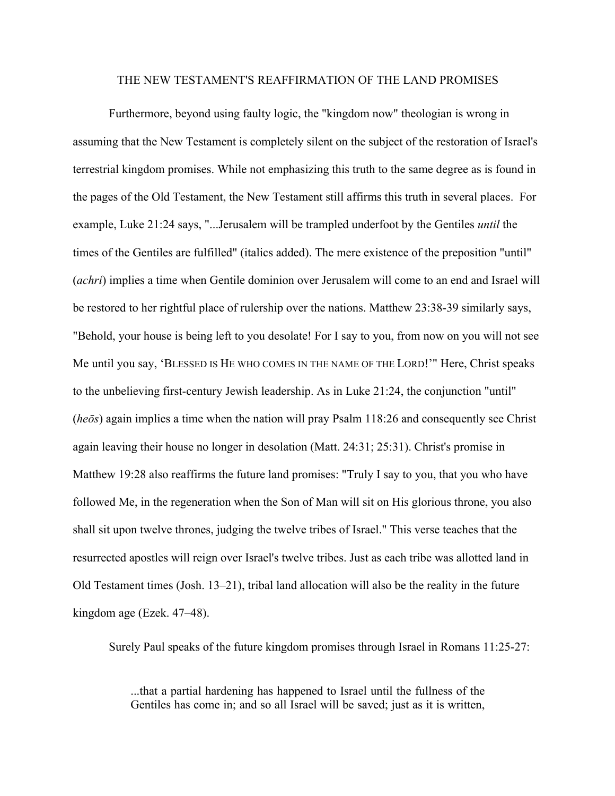### THE NEW TESTAMENT'S REAFFIRMATION OF THE LAND PROMISES

Furthermore, beyond using faulty logic, the "kingdom now" theologian is wrong in assuming that the New Testament is completely silent on the subject of the restoration of Israel's terrestrial kingdom promises. While not emphasizing this truth to the same degree as is found in the pages of the Old Testament, the New Testament still affirms this truth in several places. For example, Luke 21:24 says, "...Jerusalem will be trampled underfoot by the Gentiles *until* the times of the Gentiles are fulfilled" (italics added). The mere existence of the preposition "until" (*achri*) implies a time when Gentile dominion over Jerusalem will come to an end and Israel will be restored to her rightful place of rulership over the nations. Matthew 23:38-39 similarly says, "Behold, your house is being left to you desolate! For I say to you, from now on you will not see Me until you say, 'BLESSED IS HE WHO COMES IN THE NAME OF THE LORD!'" Here, Christ speaks to the unbelieving first-century Jewish leadership. As in Luke 21:24, the conjunction "until" (*heōs*) again implies a time when the nation will pray Psalm 118:26 and consequently see Christ again leaving their house no longer in desolation (Matt. 24:31; 25:31). Christ's promise in Matthew 19:28 also reaffirms the future land promises: "Truly I say to you, that you who have followed Me, in the regeneration when the Son of Man will sit on His glorious throne, you also shall sit upon twelve thrones, judging the twelve tribes of Israel." This verse teaches that the resurrected apostles will reign over Israel's twelve tribes. Just as each tribe was allotted land in Old Testament times (Josh. 13–21), tribal land allocation will also be the reality in the future kingdom age (Ezek. 47–48).

Surely Paul speaks of the future kingdom promises through Israel in Romans 11:25-27:

...that a partial hardening has happened to Israel until the fullness of the Gentiles has come in; and so all Israel will be saved; just as it is written,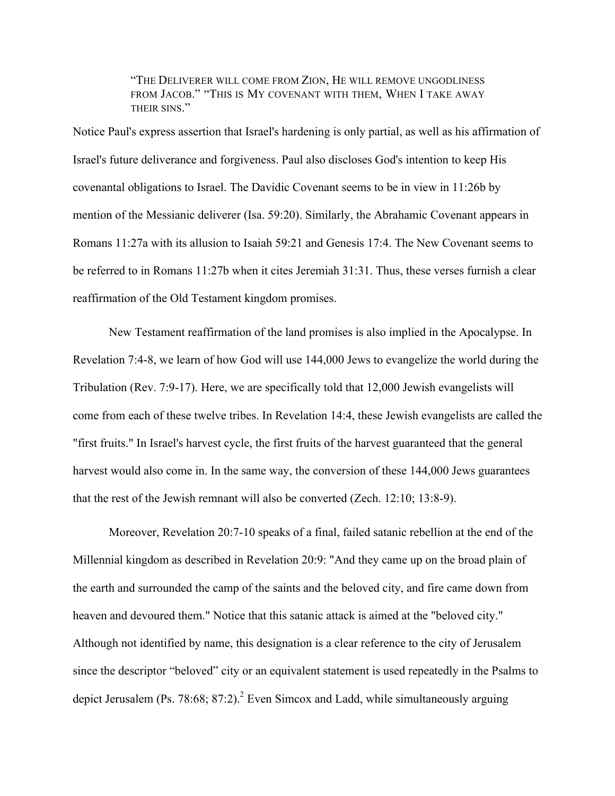"THE DELIVERER WILL COME FROM ZION, HE WILL REMOVE UNGODLINESS FROM JACOB." "THIS IS MY COVENANT WITH THEM, WHEN I TAKE AWAY THEIR SINS<sup>"</sup>

Notice Paul's express assertion that Israel's hardening is only partial, as well as his affirmation of Israel's future deliverance and forgiveness. Paul also discloses God's intention to keep His covenantal obligations to Israel. The Davidic Covenant seems to be in view in 11:26b by mention of the Messianic deliverer (Isa. 59:20). Similarly, the Abrahamic Covenant appears in Romans 11:27a with its allusion to Isaiah 59:21 and Genesis 17:4. The New Covenant seems to be referred to in Romans 11:27b when it cites Jeremiah 31:31. Thus, these verses furnish a clear reaffirmation of the Old Testament kingdom promises.

New Testament reaffirmation of the land promises is also implied in the Apocalypse. In Revelation 7:4-8, we learn of how God will use 144,000 Jews to evangelize the world during the Tribulation (Rev. 7:9-17). Here, we are specifically told that 12,000 Jewish evangelists will come from each of these twelve tribes. In Revelation 14:4, these Jewish evangelists are called the "first fruits." In Israel's harvest cycle, the first fruits of the harvest guaranteed that the general harvest would also come in. In the same way, the conversion of these 144,000 Jews guarantees that the rest of the Jewish remnant will also be converted (Zech. 12:10; 13:8-9).

Moreover, Revelation 20:7-10 speaks of a final, failed satanic rebellion at the end of the Millennial kingdom as described in Revelation 20:9: "And they came up on the broad plain of the earth and surrounded the camp of the saints and the beloved city, and fire came down from heaven and devoured them." Notice that this satanic attack is aimed at the "beloved city." Although not identified by name, this designation is a clear reference to the city of Jerusalem since the descriptor "beloved" city or an equivalent statement is used repeatedly in the Psalms to depict Jerusalem (Ps. 78:68; 87:2).<sup>2</sup> Even Simcox and Ladd, while simultaneously arguing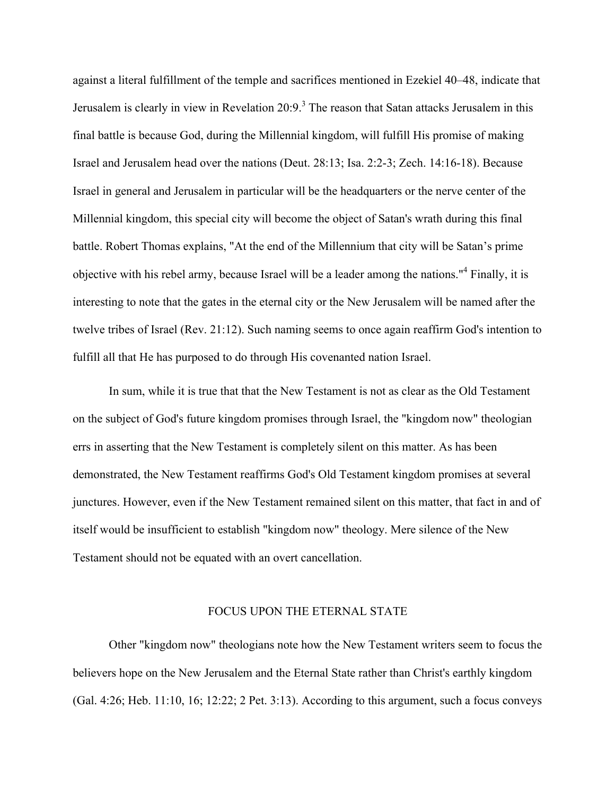against a literal fulfillment of the temple and sacrifices mentioned in Ezekiel 40–48, indicate that Jerusalem is clearly in view in Revelation  $20:9$ <sup>3</sup>. The reason that Satan attacks Jerusalem in this final battle is because God, during the Millennial kingdom, will fulfill His promise of making Israel and Jerusalem head over the nations (Deut. 28:13; Isa. 2:2-3; Zech. 14:16-18). Because Israel in general and Jerusalem in particular will be the headquarters or the nerve center of the Millennial kingdom, this special city will become the object of Satan's wrath during this final battle. Robert Thomas explains, "At the end of the Millennium that city will be Satan's prime objective with his rebel army, because Israel will be a leader among the nations."<sup>4</sup> Finally, it is interesting to note that the gates in the eternal city or the New Jerusalem will be named after the twelve tribes of Israel (Rev. 21:12). Such naming seems to once again reaffirm God's intention to fulfill all that He has purposed to do through His covenanted nation Israel.

In sum, while it is true that that the New Testament is not as clear as the Old Testament on the subject of God's future kingdom promises through Israel, the "kingdom now" theologian errs in asserting that the New Testament is completely silent on this matter. As has been demonstrated, the New Testament reaffirms God's Old Testament kingdom promises at several junctures. However, even if the New Testament remained silent on this matter, that fact in and of itself would be insufficient to establish "kingdom now" theology. Mere silence of the New Testament should not be equated with an overt cancellation.

# FOCUS UPON THE ETERNAL STATE

Other "kingdom now" theologians note how the New Testament writers seem to focus the believers hope on the New Jerusalem and the Eternal State rather than Christ's earthly kingdom (Gal. 4:26; Heb. 11:10, 16; 12:22; 2 Pet. 3:13). According to this argument, such a focus conveys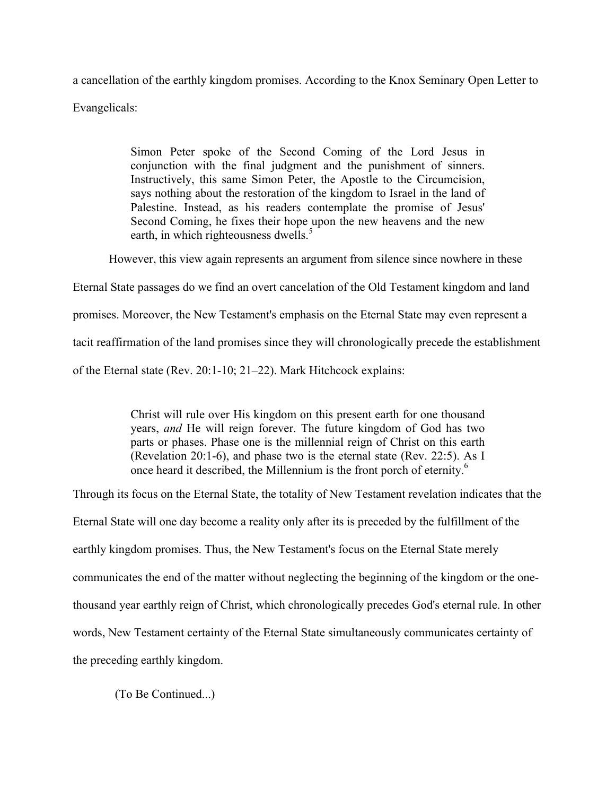a cancellation of the earthly kingdom promises. According to the Knox Seminary Open Letter to Evangelicals:

> Simon Peter spoke of the Second Coming of the Lord Jesus in conjunction with the final judgment and the punishment of sinners. Instructively, this same Simon Peter, the Apostle to the Circumcision, says nothing about the restoration of the kingdom to Israel in the land of Palestine. Instead, as his readers contemplate the promise of Jesus' Second Coming, he fixes their hope upon the new heavens and the new earth, in which righteousness dwells. $5$

However, this view again represents an argument from silence since nowhere in these

Eternal State passages do we find an overt cancelation of the Old Testament kingdom and land

promises. Moreover, the New Testament's emphasis on the Eternal State may even represent a

tacit reaffirmation of the land promises since they will chronologically precede the establishment

of the Eternal state (Rev. 20:1-10; 21-22). Mark Hitchcock explains:

Christ will rule over His kingdom on this present earth for one thousand years, *and* He will reign forever. The future kingdom of God has two parts or phases. Phase one is the millennial reign of Christ on this earth (Revelation 20:1-6), and phase two is the eternal state (Rev. 22:5). As I once heard it described, the Millennium is the front porch of eternity.<sup>6</sup>

Through its focus on the Eternal State, the totality of New Testament revelation indicates that the

Eternal State will one day become a reality only after its is preceded by the fulfillment of the

earthly kingdom promises. Thus, the New Testament's focus on the Eternal State merely

communicates the end of the matter without neglecting the beginning of the kingdom or the one-

thousand year earthly reign of Christ, which chronologically precedes God's eternal rule. In other

words, New Testament certainty of the Eternal State simultaneously communicates certainty of

the preceding earthly kingdom.

(To Be Continued...)